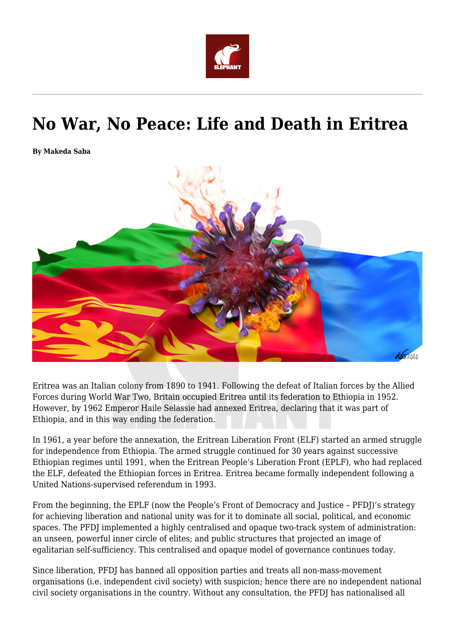

# **No War, No Peace: Life and Death in Eritrea**

**By Makeda Saba**



Eritrea was an Italian colony from 1890 to 1941. Following the defeat of Italian forces by the Allied Forces during World War Two, Britain occupied Eritrea until its federation to Ethiopia in 1952. However, by 1962 Emperor Haile Selassie had annexed Eritrea, declaring that it was part of Ethiopia, and in this way ending the federation.

In 1961, a year before the annexation, the Eritrean Liberation Front (ELF) started an armed struggle for independence from Ethiopia. The armed struggle continued for 30 years against successive Ethiopian regimes until 1991, when the Eritrean People's Liberation Front (EPLF), who had replaced the ELF, defeated the Ethiopian forces in Eritrea. Eritrea became formally independent following a United Nations-supervised referendum in 1993.

From the beginning, the EPLF (now the People's Front of Democracy and Justice – PFDJ)'s strategy for achieving liberation and national unity was for it to dominate all social, political, and economic spaces. The PFDJ implemented a highly centralised and opaque two-track system of administration: an unseen, powerful inner circle of elites; and public structures that projected an image of egalitarian self-sufficiency. This centralised and opaque model of governance continues today.

Since liberation, PFDJ has banned all opposition parties and treats all non-mass-movement organisations (i.e. independent civil society) with suspicion; hence there are no independent national civil society organisations in the country. Without any consultation, the PFDJ has nationalised all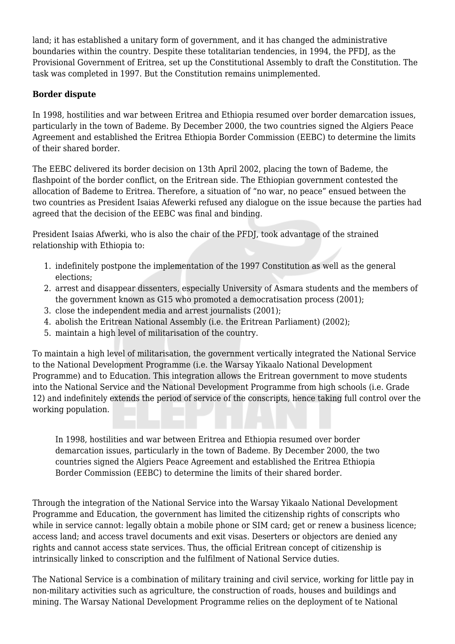land; it has established a unitary form of government, and it has changed the administrative boundaries within the country. Despite these totalitarian tendencies, in 1994, the PFDJ, as the Provisional Government of Eritrea, set up the Constitutional Assembly to draft the Constitution. The task was completed in 1997. But the Constitution remains unimplemented.

### **Border dispute**

In 1998, hostilities and war between Eritrea and Ethiopia resumed over border demarcation issues, particularly in the town of Bademe. By December 2000, the two countries signed the Algiers Peace Agreement and established the Eritrea Ethiopia Border Commission (EEBC) to determine the limits of their shared border.

The EEBC delivered its border decision on 13th April 2002, placing the town of Bademe, the flashpoint of the border conflict, on the Eritrean side. The Ethiopian government contested the allocation of Bademe to Eritrea. Therefore, a situation of "no war, no peace" ensued between the two countries as President Isaias Afewerki refused any dialogue on the issue because the parties had agreed that the decision of the EEBC was final and binding.

President Isaias Afwerki, who is also the chair of the PFDJ, took advantage of the strained relationship with Ethiopia to:

- 1. indefinitely postpone the implementation of the 1997 Constitution as well as the general elections;
- 2. arrest and disappear dissenters, especially University of Asmara students and the members of the government known as G15 who promoted a democratisation process (2001);
- 3. close the independent media and arrest journalists (2001);
- 4. abolish the Eritrean National Assembly (i.e. the Eritrean Parliament) (2002);
- 5. maintain a high level of militarisation of the country.

To maintain a high level of militarisation, the government vertically integrated the National Service to the National Development Programme (i.e. the Warsay Yikaalo National Development Programme) and to Education. This integration allows the Eritrean government to move students into the National Service and the National Development Programme from high schools (i.e. Grade 12) and indefinitely extends the period of service of the conscripts, hence taking full control over the working population.

In 1998, hostilities and war between Eritrea and Ethiopia resumed over border demarcation issues, particularly in the town of Bademe. By December 2000, the two countries signed the Algiers Peace Agreement and established the Eritrea Ethiopia Border Commission (EEBC) to determine the limits of their shared border.

Through the integration of the National Service into the Warsay Yikaalo National Development Programme and Education, the government has limited the citizenship rights of conscripts who while in service cannot: legally obtain a mobile phone or SIM card; get or renew a business licence; access land; and access travel documents and exit visas. Deserters or objectors are denied any rights and cannot access state services. Thus, the official Eritrean concept of citizenship is intrinsically linked to conscription and the fulfilment of National Service duties.

The National Service is a combination of military training and civil service, working for little pay in non-military activities such as agriculture, the construction of roads, houses and buildings and mining. The Warsay National Development Programme relies on the deployment of te National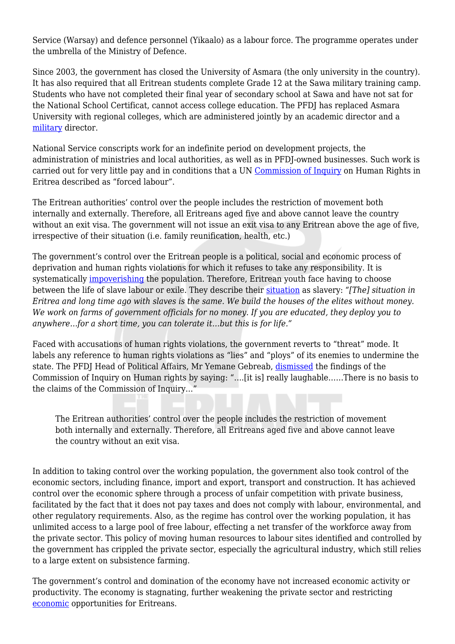Service (Warsay) and defence personnel (Yikaalo) as a labour force. The programme operates under the umbrella of the Ministry of Defence.

Since 2003, the government has closed the University of Asmara (the only university in the country). It has also required that all Eritrean students complete Grade 12 at the Sawa military training camp. Students who have not completed their final year of secondary school at Sawa and have not sat for the National School Certificat, cannot access college education. The PFDJ has replaced Asmara University with regional colleges, which are administered jointly by an academic director and a [military](https://www.researchgate.net/publication/231797362_Bare_Life_and_the_Developmental_State_Implications_of_the_Militarisation_of_Higher_Education_in_Eritrea) director.

National Service conscripts work for an indefinite period on development projects, the administration of ministries and local authorities, as well as in PFDJ-owned businesses. Such work is carried out for very little pay and in conditions that a UN [Commission of Inquiry](http://www.ohchr.org/Documents/HRBodies/HRCouncil/CoIEritrea/A_HRC_29_CRP-1.pdf) on Human Rights in Eritrea described as "forced labour".

The Eritrean authorities' control over the people includes the restriction of movement both internally and externally. Therefore, all Eritreans aged five and above cannot leave the country without an exit visa. The government will not issue an exit visa to any Eritrean above the age of five, irrespective of their situation (i.e. family reunification, health, etc.)

The government's control over the Eritrean people is a political, social and economic process of deprivation and human rights violations for which it refuses to take any responsibility. It is systematically [impoverishing](https://www.eepa.be/wp-content/uploads/2020/02/Chapter-3.pdf) the population. Therefore, Eritrean youth face having to choose between the life of slave labour or exile. They describe their [situation](https://www.eepa.be/wp-content/uploads/2020/02/Book2-Chapter-18-Makeda-Saba-research-gate.pdf) as slavery: *"[The] situation in Eritrea and long time ago with slaves is the same. We build the houses of the elites without money. We work on farms of government officials for no money. If you are educated, they deploy you to anywhere…for a short time, you can tolerate it…but this is for life."*

Faced with accusations of human rights violations, the government reverts to "threat" mode. It labels any reference to human rights violations as "lies" and "ploys" of its enemies to undermine the state. The PFDJ Head of Political Affairs, Mr Yemane Gebreab, [dismissed](https://soundcloud.com/maryharper-1/eritreas-head-of-political-affairs-yemane-gebreab) the findings of the Commission of Inquiry on Human rights by saying: "….[it is] really laughable……There is no basis to the claims of the Commission of Inquiry…"

The Eritrean authorities' control over the people includes the restriction of movement both internally and externally. Therefore, all Eritreans aged five and above cannot leave the country without an exit visa.

In addition to taking control over the working population, the government also took control of the economic sectors, including finance, import and export, transport and construction. It has achieved control over the economic sphere through a process of unfair competition with private business, facilitated by the fact that it does not pay taxes and does not comply with labour, environmental, and other regulatory requirements. Also, as the regime has control over the working population, it has unlimited access to a large pool of free labour, effecting a net transfer of the workforce away from the private sector. This policy of moving human resources to labour sites identified and controlled by the government has crippled the private sector, especially the agricultural industry, which still relies to a large extent on subsistence farming.

The government's control and domination of the economy have not increased economic activity or productivity. The economy is stagnating, further weakening the private sector and restricting [economic](https://www.worldbank.org/en/country/eritrea/overview) opportunities for Eritreans.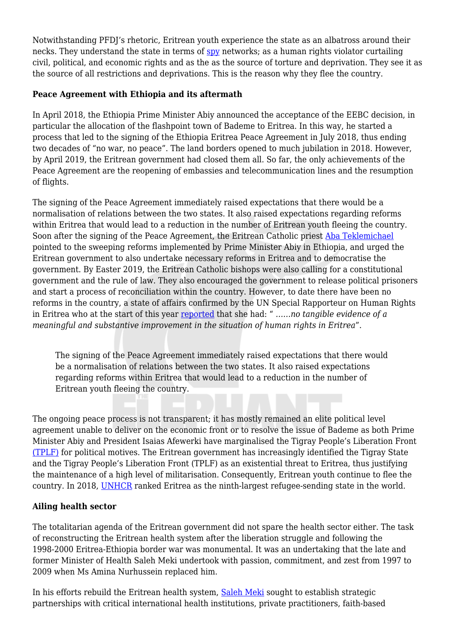Notwithstanding PFDJ's rhetoric, Eritrean youth experience the state as an albatross around their necks. They understand the state in terms of [spy](https://www.researchgate.net/publication/292993943_Low-tech_Surveillance_and_the_Despotic_State_in_Eritrea) networks; as a human rights violator curtailing civil, political, and economic rights and as the as the source of torture and deprivation. They see it as the source of all restrictions and deprivations. This is the reason why they flee the country.

### **Peace Agreement with Ethiopia and its aftermath**

In April 2018, the Ethiopia Prime Minister Abiy announced the acceptance of the EEBC decision, in particular the allocation of the flashpoint town of Bademe to Eritrea. In this way, he started a process that led to the signing of the Ethiopia Eritrea Peace Agreement in July 2018, thus ending two decades of "no war, no peace". The land borders opened to much jubilation in 2018. However, by April 2019, the Eritrean government had closed them all. So far, the only achievements of the Peace Agreement are the reopening of embassies and telecommunication lines and the resumption of flights.

The signing of the Peace Agreement immediately raised expectations that there would be a normalisation of relations between the two states. It also raised expectations regarding reforms within Eritrea that would lead to a reduction in the number of Eritrean youth fleeing the country. Soon after the signing of the Peace Agreement, the Eritrean Catholic priest [Aba Teklemichael](https://www.youtube.com/watch?v=nrs3Bcm59Vo) pointed to the sweeping reforms implemented by Prime Minister Abiy in Ethiopia, and urged the Eritrean government to also undertake necessary reforms in Eritrea and to democratise the government. By Easter 2019, the Eritrean Catholic bishops were also calling for a constitutional government and the rule of law. They also encouraged the government to release political prisoners and start a process of reconciliation within the country. However, to date there have been no reforms in the country, a state of affairs confirmed by the UN Special Rapporteur on Human Rights in Eritrea who at the start of this year [reported](https://www.ohchr.org/EN/NewsEvents/Pages/DisplayNews.aspx?NewsID=26020&LangID=E) that she had: " *……no tangible evidence of a meaningful and substantive improvement in the situation of human rights in Eritrea*".

The signing of the Peace Agreement immediately raised expectations that there would be a normalisation of relations between the two states. It also raised expectations regarding reforms within Eritrea that would lead to a reduction in the number of Eritrean youth fleeing the country.

The ongoing peace process is not transparent; it has mostly remained an elite political level agreement unable to deliver on the economic front or to resolve the issue of Bademe as both Prime Minister Abiy and President Isaias Afewerki have marginalised the Tigray People's Liberation Front [\(TPLF\)](https://www.usip.org/publications/2019/08/year-after-ethiopia-eritrea-peace-deal-what-impact) for political motives. The Eritrean government has increasingly identified the Tigray State and the Tigray People's Liberation Front (TPLF) as an existential threat to Eritrea, thus justifying the maintenance of a high level of militarisation. Consequently, Eritrean youth continue to flee the country. In 2018, [UNHCR](https://www.unhcr.org/globaltrends2018/#:~:text=The%20global%20population%20of%20forcibly,violence%2C%20or%20human%20rights%20violations.) ranked Eritrea as the ninth-largest refugee-sending state in the world.

## **Ailing health sector**

The totalitarian agenda of the Eritrean government did not spare the health sector either. The task of reconstructing the Eritrean health system after the liberation struggle and following the 1998-2000 Eritrea-Ethiopia border war was monumental. It was an undertaking that the late and former Minister of Health Saleh Meki undertook with passion, commitment, and zest from 1997 to 2009 when Ms Amina Nurhussein replaced him.

In his efforts rebuild the Eritrean health system, [Saleh Meki](https://books.google.co.ke/books/about/Building_the_Impossible.html?id=p-_EwQEACAAJ&source=kp_book_description&redir_esc=y) sought to establish strategic partnerships with critical international health institutions, private practitioners, faith-based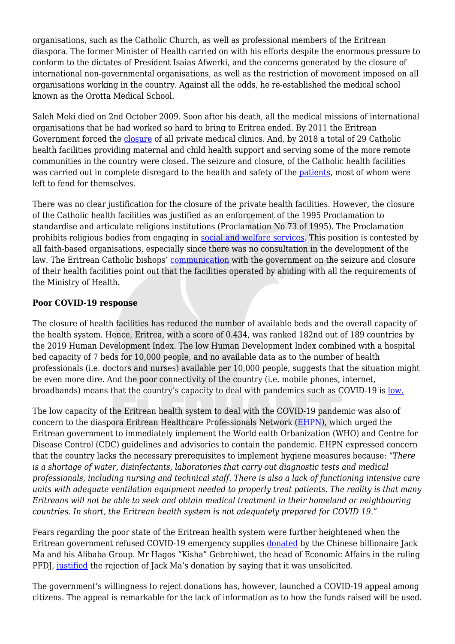organisations, such as the Catholic Church, as well as professional members of the Eritrean diaspora. The former Minister of Health carried on with his efforts despite the enormous pressure to conform to the dictates of President Isaias Afwerki, and the concerns generated by the closure of international non-governmental organisations, as well as the restriction of movement imposed on all organisations working in the country. Against all the odds, he re-established the medical school known as the Orotta Medical School.

Saleh Meki died on 2nd October 2009. Soon after his death, all the medical missions of international organisations that he had worked so hard to bring to Eritrea ended. By 2011 the Eritrean Government forced the [closure](https://2009-2017.state.gov/j/drl/rls/hrrpt/2011/af/186194.htm) of all private medical clinics. And, by 2018 a total of 29 Catholic health facilities providing maternal and child health support and serving some of the more remote communities in the country were closed. The seizure and closure, of the Catholic health facilities was carried out in complete disregard to the health and safety of the [patients](https://catholicphilly.com/2019/06/news/world-news/eritrean-catholic-bishops-say-government-closes-church-run-health-centers/), most of whom were left to fend for themselves.

There was no clear justification for the closure of the private health facilities. However, the closure of the Catholic health facilities was justified as an enforcement of the 1995 Proclamation to standardise and articulate religions institutions (Proclamation No 73 of 1995). The Proclamation prohibits religious bodies from engaging in [social and welfare services](https://d.docs.live.net/ad5bcb2dc90f3cde/Documents/Soon%20after%20the%20Peace%20Agreement%20was%20signed%20,%20Eritrea%20Catholic%20Priest%20Aba%20Teklemichael%20pointing%20to%20the%20sweeping%20reform%20implemented,%20in%202018%20by%20PM%20Abiy%20in%20Ethiopia.,%20urged%20the%20Eritrean%20Government%20also%20to%20make%20the%20necessary%20reforms%20in%20Eritrea%20and%20to%20democratise%20the%20Government.%20(Solomon,%202018).%20By%20Easter%202019,%20the%20Eritrean%20Catholic%20Bishop%20were%20also%20calling%20for%20constitutional%20government%20and%20the%20rule%20of%20law.%20They%20also%20encouraged%20the%20Government%20to%20release%20political%20prisoners%20and%20start%20a%20process%20of%20reconciliation%20within%20the%20country.%20(Catholic%20Bishops%20of%20Eritrea,%202019b).). This position is contested by all faith-based organisations, especially since there was no consultation in the development of the law. The Eritrean Catholic bishops' [communication](https://cruxnow.com/church-in-africa/2019/06/eritrean-catholic-bishops-say-government-closes-church-run-health-centers/) with the government on the seizure and closure of their health facilities point out that the facilities operated by abiding with all the requirements of the Ministry of Health.

#### **Poor COVID-19 response**

The closure of health facilities has reduced the number of available beds and the overall capacity of the health system. Hence, Eritrea, with a score of 0.434, was ranked 182nd out of 189 countries by the 2019 Human Development Index. The low Human Development Index combined with a hospital bed capacity of 7 beds for 10,000 people, and no available data as to the number of health professionals (i.e. doctors and nurses) available per 10,000 people, suggests that the situation might be even more dire. And the poor connectivity of the country (i.e. mobile phones, internet, broadbands) means that the country's capacity to deal with pandemics such as COVID-19 is <u>[low.](http://hdr.undp.org/en/statistics/)</u>

The low capacity of the Eritrean health system to deal with the COVID-19 pandemic was also of concern to the diaspora Eritrean Healthcare Professionals Network ([EHPN\)](https://eritreahub.org/an-open-letter-to-the-government-of-eritrea-on-the-spread-of-covid-19), which urged the Eritrean government to immediately implement the World ealth Orbanization (WHO) and Centre for Disease Control (CDC) guidelines and advisories to contain the pandemic. EHPN expressed concern that the country lacks the necessary prerequisites to implement hygiene measures because: "*There is a shortage of water, disinfectants, laboratories that carry out diagnostic tests and medical professionals, including nursing and technical staff. There is also a lack of functioning intensive care units with adequate ventilation equipment needed to properly treat patients. The reality is that many Eritreans will not be able to seek and obtain medical treatment in their homeland or neighbouring countries. In short, the Eritrean health system is not adequately prepared for COVID 19."*

Fears regarding the poor state of the Eritrean health system were further heightened when the Eritrean government refused COVID-19 emergency supplies [donated](https://www.voanews.com/science-health/coronavirus-outbreak/covid-19-supplies-alibaba-never-reached-eritrea#:~:text=African%20health%20officials%20say%20no,delivered%20to%20the%20entire%20continent.) by the Chinese billionaire Jack Ma and his Alibaba Group. Mr Hagos "Kisha" Gebrehiwet, the head of Economic Affairs in the ruling PFDJ, [justified](https://www.aljazeera.com/opinions/2020/5/3/can-eritreas-government-survive-the-coronavirus/?gb=true) the rejection of Jack Ma's donation by saying that it was unsolicited.

The government's willingness to reject donations has, however, launched a COVID-19 appeal among citizens. The appeal is remarkable for the lack of information as to how the funds raised will be used.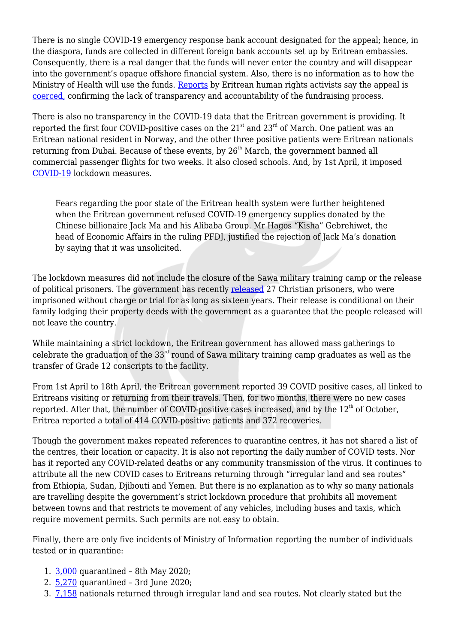There is no single COVID-19 emergency response bank account designated for the appeal; hence, in the diaspora, funds are collected in different foreign bank accounts set up by Eritrean embassies. Consequently, there is a real danger that the funds will never enter the country and will disappear into the government's opaque offshore financial system. Also, there is no information as to how the Ministry of Health will use the funds. [Reports](https://eritreahub.org/eritrea-raising-an-alarm-of-impending-disaster) by Eritrean human rights activists say the appeal is [coerced,](https://twitter.com/CSW_UK/status/1284490633193947145?s=20;%20h) confirming the lack of transparency and accountability of the fundraising process.

There is also no transparency in the COVID-19 data that the Eritrean government is providing. It reported the first four COVID-positive cases on the 21<sup>st</sup> and 23<sup>rd</sup> of March. One patient was an Eritrean national resident in Norway, and the other three positive patients were Eritrean nationals returning from Dubai. Because of these events, by 26<sup>th</sup> March, the government banned all commercial passenger flights for two weeks. It also closed schools. And, by 1st April, it imposed [COVID-19](https://shabait.com/2020/04/01/guidelines-from-the-high-level-task-force-on-covid-19/) lockdown measures.

Fears regarding the poor state of the Eritrean health system were further heightened when the Eritrean government refused COVID-19 emergency supplies donated by the Chinese billionaire Jack Ma and his Alibaba Group. Mr Hagos "Kisha" Gebrehiwet, the head of Economic Affairs in the ruling PFDJ, justified the rejection of Jack Ma's donation by saying that it was unsolicited.

The lockdown measures did not include the closure of the Sawa military training camp or the release of political prisoners. The government has recently [released](https://www.csw.org.uk/2020/09/11/press/4799/article.htm) 27 Christian prisoners, who were imprisoned without charge or trial for as long as sixteen years. Their release is conditional on their family lodging their property deeds with the government as a guarantee that the people released will not leave the country.

While maintaining a strict lockdown, the Eritrean government has allowed mass gatherings to celebrate the graduation of the  $33<sup>rd</sup>$  round of Sawa military training camp graduates as well as the transfer of Grade 12 conscripts to the facility.

From 1st April to 18th April, the Eritrean government reported 39 COVID positive cases, all linked to Eritreans visiting or returning from their travels. Then, for two months, there were no new cases reported. After that, the number of COVID-positive cases increased, and by the  $12<sup>th</sup>$  of October, Eritrea reported a total of 414 COVID-positive patients and 372 recoveries.

Though the government makes repeated references to quarantine centres, it has not shared a list of the centres, their location or capacity. It is also not reporting the daily number of COVID tests. Nor has it reported any COVID-related deaths or any community transmission of the virus. It continues to attribute all the new COVID cases to Eritreans returning through "irregular land and sea routes" from Ethiopia, Sudan, Djibouti and Yemen. But there is no explanation as to why so many nationals are travelling despite the government's strict lockdown procedure that prohibits all movement between towns and that restricts te movement of any vehicles, including buses and taxis, which require movement permits. Such permits are not easy to obtain.

Finally, there are only five incidents of Ministry of Information reporting the number of individuals tested or in quarantine:

- 1. [3,000](https://twitter.com/hawelti/status/1258805557726711808?s=20) quarantined 8th May 2020;
- 2. [5,270](https://twitter.com/hawelti/status/1268137028983627776?s=20) quarantined 3rd June 2020;
- 3. [7,158](https://shabait.com/2020/06/14/announcement-from-the-ministry-of-health-26/) nationals returned through irregular land and sea routes. Not clearly stated but the